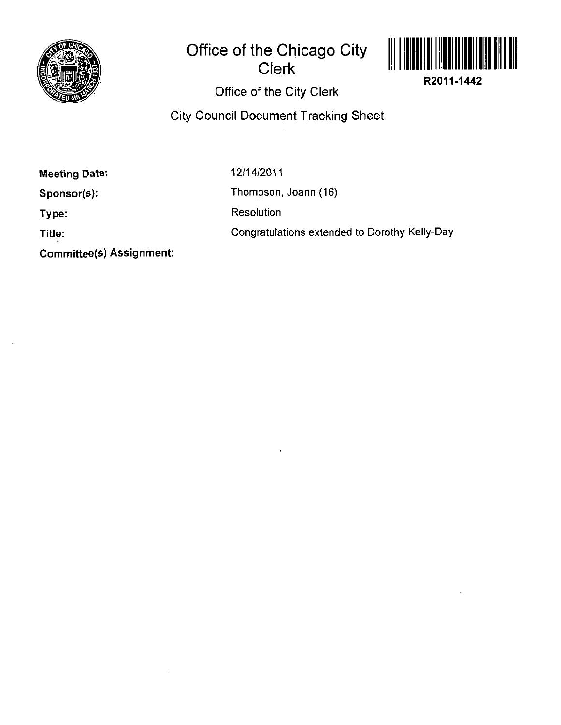

## **Office of the Chicago City Clerk**



**R2011-1442** 

**Office of the City Clerk** 

## **City Council Document Tracking Sheet**

**Meeting Date:** 

12/14/2011

**Sponsor(s):** 

**Type:** 

**Title:** 

**Committee(s) Assignment:** 

Thompson, Joann (16)

Resolution

Congratulations extended to Dorothy Kelly-Day